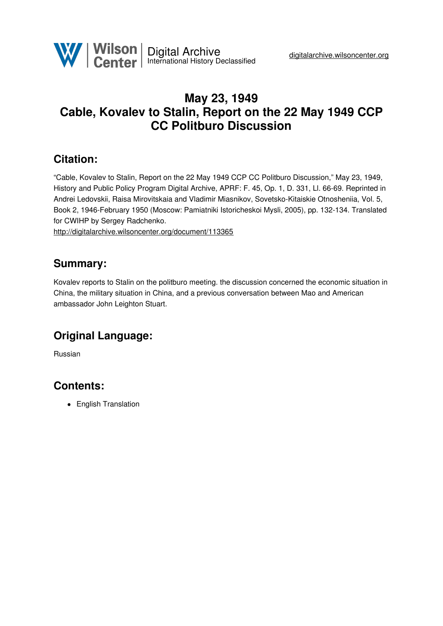

# **May 23, 1949 Cable, Kovalev to Stalin, Report on the 22 May 1949 CCP CC Politburo Discussion**

#### **Citation:**

"Cable, Kovalev to Stalin, Report on the 22 May 1949 CCP CC Politburo Discussion," May 23, 1949, History and Public Policy Program Digital Archive, APRF: F. 45, Op. 1, D. 331, Ll. 66-69. Reprinted in Andrei Ledovskii, Raisa Mirovitskaia and Vladimir Miasnikov, Sovetsko-Kitaiskie Otnosheniia, Vol. 5, Book 2, 1946-February 1950 (Moscow: Pamiatniki Istoricheskoi Mysli, 2005), pp. 132-134. Translated for CWIHP by Sergey Radchenko.

<http://digitalarchive.wilsoncenter.org/document/113365>

#### **Summary:**

Kovalev reports to Stalin on the politburo meeting. the discussion concerned the economic situation in China, the military situation in China, and a previous conversation between Mao and American ambassador John Leighton Stuart.

# **Original Language:**

Russian

### **Contents:**

• English Translation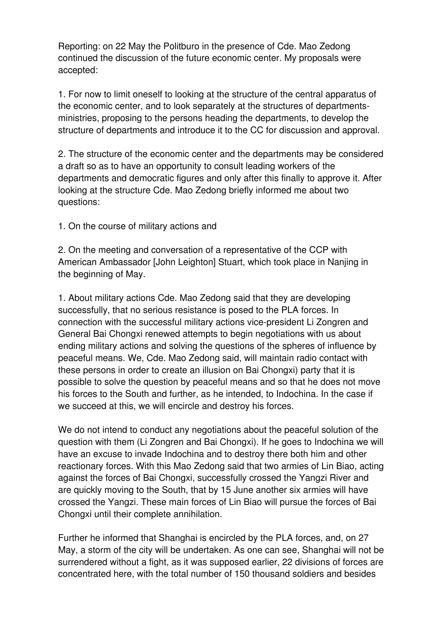Reporting: on 22 May the Politburo in the presence of Cde. Mao Zedong continued the discussion of the future economic center. My proposals were accepted:

1. For now to limit oneself to looking at the structure of the central apparatus of the economic center, and to look separately at the structures of departmentsministries, proposing to the persons heading the departments, to develop the structure of departments and introduce it to the CC for discussion and approval.

2. The structure of the economic center and the departments may be considered a draft so as to have an opportunity to consult leading workers of the departments and democratic figures and only after this finally to approve it. After looking at the structure Cde. Mao Zedong briefly informed me about two questions:

1. On the course of military actions and

2. On the meeting and conversation of a representative of the CCP with American Ambassador [John Leighton] Stuart, which took place in Nanjing in the beginning of May.

1. About military actions Cde. Mao Zedong said that they are developing successfully, that no serious resistance is posed to the PLA forces. In connection with the successful military actions vice-president Li Zongren and General Bai Chongxi renewed attempts to begin negotiations with us about ending military actions and solving the questions of the spheres of influence by peaceful means. We, Cde. Mao Zedong said, will maintain radio contact with these persons in order to create an illusion on Bai Chongxi) party that it is possible to solve the question by peaceful means and so that he does not move his forces to the South and further, as he intended, to Indochina. In the case if we succeed at this, we will encircle and destroy his forces.

We do not intend to conduct any negotiations about the peaceful solution of the question with them (Li Zongren and Bai Chongxi). If he goes to Indochina we will have an excuse to invade Indochina and to destroy there both him and other reactionary forces. With this Mao Zedong said that two armies of Lin Biao, acting against the forces of Bai Chongxi, successfully crossed the Yangzi River and are quickly moving to the South, that by 15 June another six armies will have crossed the Yangzi. These main forces of Lin Biao will pursue the forces of Bai Chongxi until their complete annihilation.

Further he informed that Shanghai is encircled by the PLA forces, and, on 27 May, a storm of the city will be undertaken. As one can see, Shanghai will not be surrendered without a fight, as it was supposed earlier, 22 divisions of forces are concentrated here, with the total number of 150 thousand soldiers and besides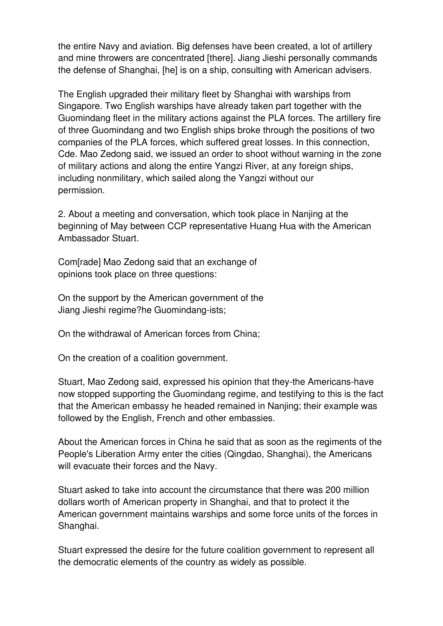the entire Navy and aviation. Big defenses have been created, a lot of artillery and mine throwers are concentrated [there]. Jiang Jieshi personally commands the defense of Shanghai, [he] is on a ship, consulting with American advisers.

The English upgraded their military fleet by Shanghai with warships from Singapore. Two English warships have already taken part together with the Guomindang fleet in the military actions against the PLA forces. The artillery fire of three Guomindang and two English ships broke through the positions of two companies of the PLA forces, which suffered great losses. In this connection, Cde. Mao Zedong said, we issued an order to shoot without warning in the zone of military actions and along the entire Yangzi River, at any foreign ships, including nonmilitary, which sailed along the Yangzi without our permission.

2. About a meeting and conversation, which took place in Nanjing at the beginning of May between CCP representative Huang Hua with the American Ambassador Stuart.

Com[rade] Mao Zedong said that an exchange of opinions took place on three questions:

On the support by the American government of the Jiang Jieshi regime?he Guomindang-ists;

On the withdrawal of American forces from China;

On the creation of a coalition government.

Stuart, Mao Zedong said, expressed his opinion that they-the Americans-have now stopped supporting the Guomindang regime, and testifying to this is the fact that the American embassy he headed remained in Nanjing; their example was followed by the English, French and other embassies.

About the American forces in China he said that as soon as the regiments of the People's Liberation Army enter the cities (Qingdao, Shanghai), the Americans will evacuate their forces and the Navy.

Stuart asked to take into account the circumstance that there was 200 million dollars worth of American property in Shanghai, and that to protect it the American government maintains warships and some force units of the forces in Shanghai.

Stuart expressed the desire for the future coalition government to represent all the democratic elements of the country as widely as possible.